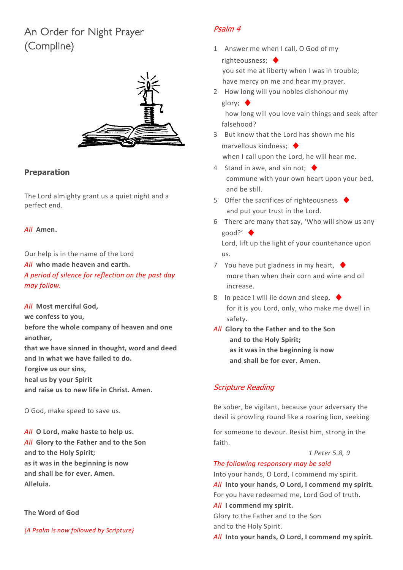# An Order for Night Prayer (Compline)



### **Preparation**

The Lord almighty grant us a quiet night and a perfect end.

#### *All* **Amen.**

Our help is in the name of the Lord *All* **who made heaven and earth.** *A period of silence for reflection on the past day may follow.*

*All* **Most merciful God, we confess to you, before the whole company of heaven and one another, that we have sinned in thought, word and deed and in what we have failed to do. Forgive us our sins, heal us by your Spirit and raise us to new life in Christ. Amen.**

O God, make speed to save us.

*All* **O Lord, make haste to help us.** *All* **Glory to the Father and to the Son and to the Holy Spirit; as it was in the beginning is now and shall be for ever. Amen. Alleluia.**

**The Word of God**

*{A Psalm is now followed by Scripture}*

# Psalm 4

- 1 Answer me when I call, O God of my righteousness; ♦ you set me at liberty when I was in trouble; have mercy on me and hear my prayer.
- 2 How long will you nobles dishonour my glory; ♦

how long will you love vain things and seek after falsehood?

- 3 But know that the Lord has shown me his marvellous kindness:  $\triangleleft$ when I call upon the Lord, he will hear me.
- 4 Stand in awe, and sin not;  $\blacklozenge$ commune with your own heart upon your bed, and be still.
- 5 Offer the sacrifices of righteousness  $\blacklozenge$ and put your trust in the Lord.
- 6 There are many that say, 'Who will show us any good?' ♦

Lord, lift up the light of your countenance upon us.

- 7 You have put gladness in my heart,  $\blacklozenge$ more than when their corn and wine and oil increase.
- 8 In peace I will lie down and sleep,  $\blacklozenge$ for it is you Lord, only, who make me dwell in safety.
- *All* **Glory to the Father and to the Son and to the Holy Spirit; as it was in the beginning is now and shall be for ever. Amen.**

# Scripture Reading

Be sober, be vigilant, because your adversary the devil is prowling round like a roaring lion, seeking

for someone to devour. Resist him, strong in the faith.

*1 Peter 5.8, 9*

#### *The following responsory may be said*

Into your hands, O Lord, I commend my spirit. *All* **Into your hands, O Lord, I commend my spirit.** For you have redeemed me, Lord God of truth.

*All* **I commend my spirit.**

Glory to the Father and to the Son and to the Holy Spirit. *All* **Into your hands, O Lord, I commend my spirit.**